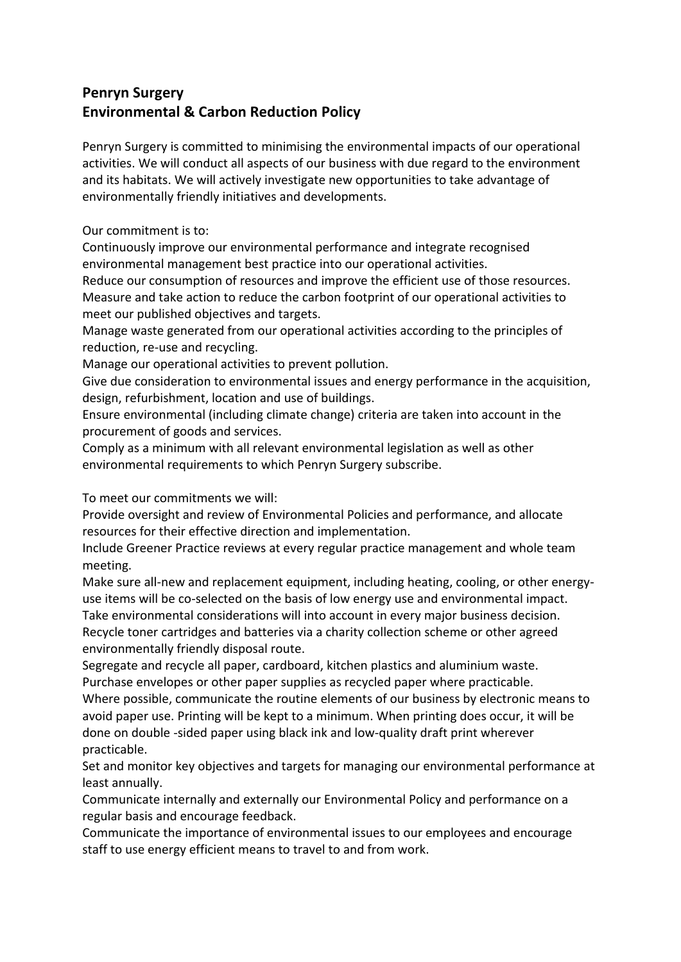## **Penryn Surgery Environmental & Carbon Reduction Policy**

Penryn Surgery is committed to minimising the environmental impacts of our operational activities. We will conduct all aspects of our business with due regard to the environment and its habitats. We will actively investigate new opportunities to take advantage of environmentally friendly initiatives and developments.

Our commitment is to:

Continuously improve our environmental performance and integrate recognised environmental management best practice into our operational activities.

Reduce our consumption of resources and improve the efficient use of those resources. Measure and take action to reduce the carbon footprint of our operational activities to meet our published objectives and targets.

Manage waste generated from our operational activities according to the principles of reduction, re-use and recycling.

Manage our operational activities to prevent pollution.

Give due consideration to environmental issues and energy performance in the acquisition, design, refurbishment, location and use of buildings.

Ensure environmental (including climate change) criteria are taken into account in the procurement of goods and services.

Comply as a minimum with all relevant environmental legislation as well as other environmental requirements to which Penryn Surgery subscribe.

To meet our commitments we will:

Provide oversight and review of Environmental Policies and performance, and allocate resources for their effective direction and implementation.

Include Greener Practice reviews at every regular practice management and whole team meeting.

Make sure all-new and replacement equipment, including heating, cooling, or other energyuse items will be co-selected on the basis of low energy use and environmental impact. Take environmental considerations will into account in every major business decision. Recycle toner cartridges and batteries via a charity collection scheme or other agreed environmentally friendly disposal route.

Segregate and recycle all paper, cardboard, kitchen plastics and aluminium waste. Purchase envelopes or other paper supplies as recycled paper where practicable. Where possible, communicate the routine elements of our business by electronic means to avoid paper use. Printing will be kept to a minimum. When printing does occur, it will be done on double -sided paper using black ink and low-quality draft print wherever practicable.

Set and monitor key objectives and targets for managing our environmental performance at least annually.

Communicate internally and externally our Environmental Policy and performance on a regular basis and encourage feedback.

Communicate the importance of environmental issues to our employees and encourage staff to use energy efficient means to travel to and from work.